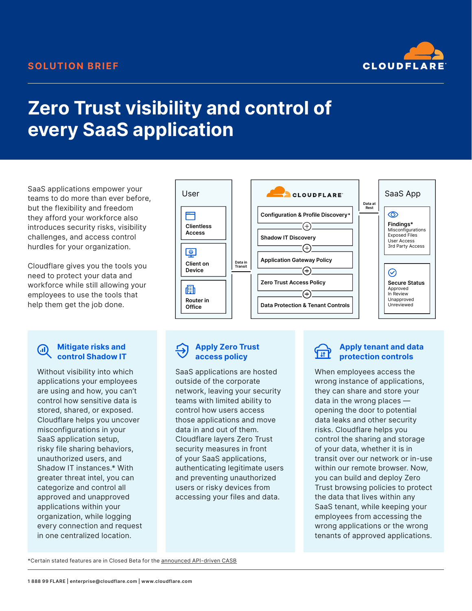

# **Zero Trust visibility and control of every SaaS application**

SaaS applications empower your teams to do more than ever before, but the flexibility and freedom they afford your workforce also introduces security risks, visibility challenges, and access control hurdles for your organization.

Cloudflare gives you the tools you need to protect your data and workforce while still allowing your employees to use the tools that help them get the job done.

#### **Mitigate risks and GID control Shadow IT**

Without visibility into which applications your employees are using and how, you can't control how sensitive data is stored, shared, or exposed. Cloudflare helps you uncover misconfigurations in your SaaS application setup, risky file sharing behaviors, unauthorized users, and Shadow IT instances.\* With greater threat intel, you can categorize and control all approved and unapproved applications within your organization, while logging every connection and request in one centralized location.



### **Apply Zero Trust access policy**

SaaS applications are hosted outside of the corporate network, leaving your security teams with limited ability to control how users access those applications and move data in and out of them. Cloudflare layers Zero Trust security measures in front of your SaaS applications, authenticating legitimate users and preventing unauthorized users or risky devices from accessing your files and data.

# ᡃᡏ᠍᠍᠋

### **Apply tenant and data protection controls**

When employees access the wrong instance of applications, they can share and store your data in the wrong places opening the door to potential data leaks and other security risks. Cloudflare helps you control the sharing and storage of your data, whether it is in transit over our network or in-use within our remote browser. Now, you can build and deploy Zero Trust browsing policies to protect the data that lives within any SaaS tenant, while keeping your employees from accessing the wrong applications or the wrong tenants of approved applications.

\*Certain stated features are in Closed Beta for the [announced API-driven CASB](https://blog.cloudflare.com/cloudflare-zero-trust-casb/)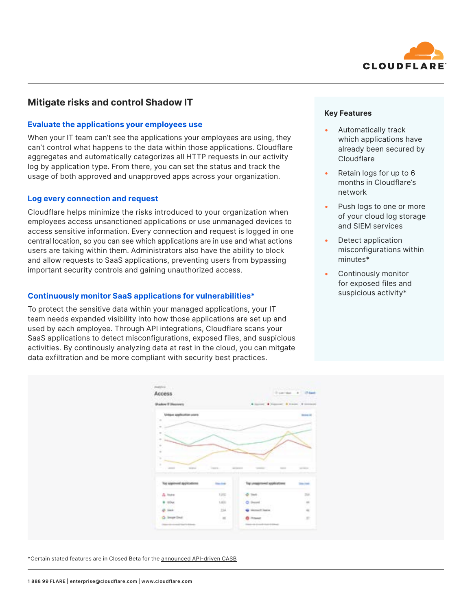

# **Mitigate risks and control Shadow IT**

#### **Evaluate the applications your employees use**

When your IT team can't see the applications your employees are using, they can't control what happens to the data within those applications. Cloudflare aggregates and automatically categorizes all HTTP requests in our activity log by application type. From there, you can set the status and track the usage of both approved and unapproved apps across your organization.

#### **Log every connection and request**

Cloudflare helps minimize the risks introduced to your organization when employees access unsanctioned applications or use unmanaged devices to access sensitive information. Every connection and request is logged in one central location, so you can see which applications are in use and what actions users are taking within them. Administrators also have the ability to block and allow requests to SaaS applications, preventing users from bypassing important security controls and gaining unauthorized access.

#### **Continuously monitor SaaS applications for vulnerabilities\***

To protect the sensitive data within your managed applications, your IT team needs expanded visibility into how those applications are set up and used by each employee. Through API integrations, Cloudflare scans your SaaS applications to detect misconfigurations, exposed files, and suspicious activities. By continously analyzing data at rest in the cloud, you can mitgate data exfiltration and be more compliant with security best practices.



\*Certain stated features are in Closed Beta for the [announced API-driven CASB](https://blog.cloudflare.com/cloudflare-zero-trust-casb/)

- Automatically track which applications have already been secured by **Cloudflare**
- Retain logs for up to 6 months in Cloudflare's network
- Push logs to one or more of your cloud log storage and SIEM services
- Detect application misconfigurations within minutes\*
- Continously monitor for exposed files and suspicious activity\*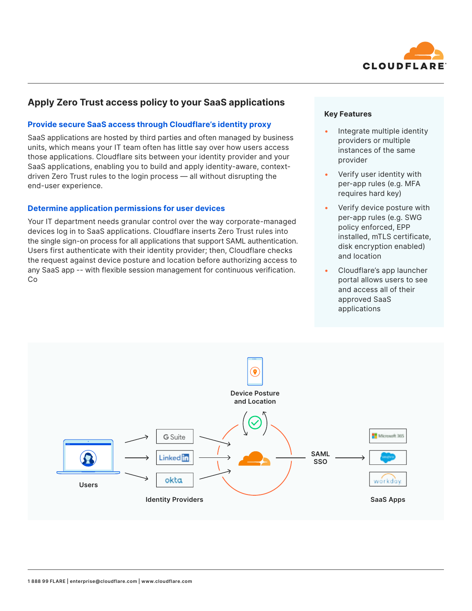

# **Apply Zero Trust access policy to your SaaS applications**

### **Provide secure SaaS access through Cloudflare's identity proxy**

SaaS applications are hosted by third parties and often managed by business units, which means your IT team often has little say over how users access those applications. Cloudflare sits between your identity provider and your SaaS applications, enabling you to build and apply identity-aware, contextdriven Zero Trust rules to the login process — all without disrupting the end-user experience.

### **Determine application permissions for user devices**

Your IT department needs granular control over the way corporate-managed devices log in to SaaS applications. Cloudflare inserts Zero Trust rules into the single sign-on process for all applications that support SAML authentication. Users first authenticate with their identity provider; then, Cloudflare checks the request against device posture and location before authorizing access to any SaaS app -- with flexible session management for continuous verification. Co

#### **Key Features**

- Integrate multiple identity providers or multiple instances of the same provider
- Verify user identity with per-app rules (e.g. MFA requires hard key)
- Verify device posture with per-app rules (e.g. SWG policy enforced, EPP installed, mTLS certificate, disk encryption enabled) and location
- Cloudflare's app launcher portal allows users to see and access all of their approved SaaS applications

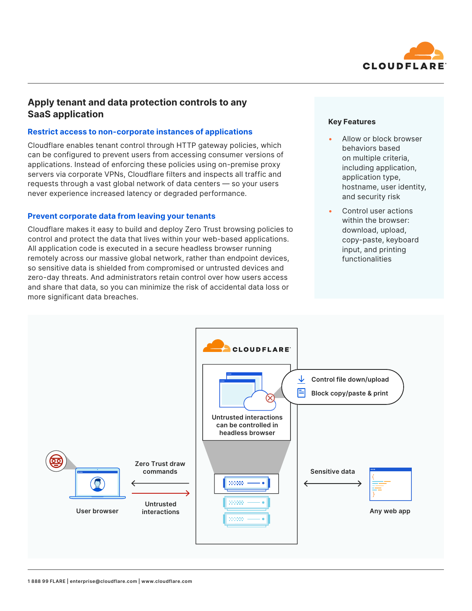

# **Apply tenant and data protection controls to any SaaS application**

#### **Restrict access to non-corporate instances of applications**

Cloudflare enables tenant control through HTTP gateway policies, which can be configured to prevent users from accessing consumer versions of applications. Instead of enforcing these policies using on-premise proxy servers via corporate VPNs, Cloudflare filters and inspects all traffic and requests through a vast global network of data centers — so your users never experience increased latency or degraded performance.

#### **Prevent corporate data from leaving your tenants**

Cloudflare makes it easy to build and deploy Zero Trust browsing policies to control and protect the data that lives within your web-based applications. All application code is executed in a secure headless browser running remotely across our massive global network, rather than endpoint devices, so sensitive data is shielded from compromised or untrusted devices and zero-day threats. And administrators retain control over how users access and share that data, so you can minimize the risk of accidental data loss or more significant data breaches.

#### **Key Features**

- Allow or block browser behaviors based on multiple criteria, including application, application type, hostname, user identity, and security risk
- Control user actions within the browser: download, upload, copy-paste, keyboard input, and printing functionalities